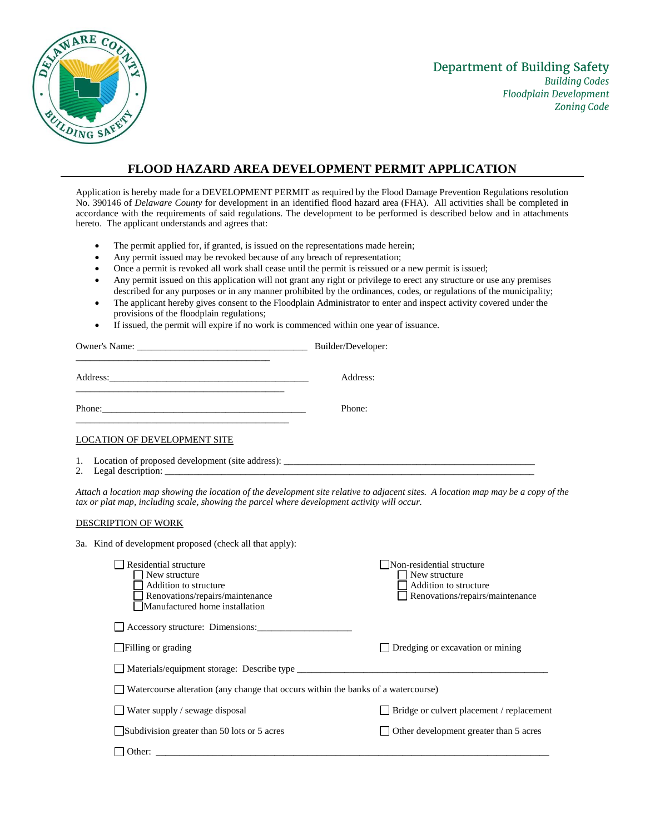

## **FLOOD HAZARD AREA DEVELOPMENT PERMIT APPLICATION**

Application is hereby made for a DEVELOPMENT PERMIT as required by the Flood Damage Prevention Regulations resolution No. 390146 of *Delaware County* for development in an identified flood hazard area (FHA). All activities shall be completed in accordance with the requirements of said regulations. The development to be performed is described below and in attachments hereto. The applicant understands and agrees that:

- The permit applied for, if granted, is issued on the representations made herein;
- Any permit issued may be revoked because of any breach of representation;
- Once a permit is revoked all work shall cease until the permit is reissued or a new permit is issued;
- Any permit issued on this application will not grant any right or privilege to erect any structure or use any premises described for any purposes or in any manner prohibited by the ordinances, codes, or regulations of the municipality;
- The applicant hereby gives consent to the Floodplain Administrator to enter and inspect activity covered under the provisions of the floodplain regulations;
- If issued, the permit will expire if no work is commenced within one year of issuance.

|                                                                                  | Builder/Developer: |
|----------------------------------------------------------------------------------|--------------------|
|                                                                                  | Address:           |
| Phone:<br><u> 1989 - Jan Samuel Barbara, margaret eta biztanleria (h. 1989).</u> | Phone:             |
| LOCATION OF DEVELOPMENT SITE                                                     |                    |
| 1. Location of proposed development (site address):                              |                    |

2. Legal description:

*Attach a location map showing the location of the development site relative to adjacent sites. A location map may be a copy of the tax or plat map, including scale, showing the parcel where development activity will occur.*

## DESCRIPTION OF WORK

3a. Kind of development proposed (check all that apply):

| Residential structure<br>New structure<br>Addition to structure<br>Renovations/repairs/maintenance<br>Manufactured home installation | Non-residential structure<br>New structure<br>Addition to structure<br>Renovations/repairs/maintenance |
|--------------------------------------------------------------------------------------------------------------------------------------|--------------------------------------------------------------------------------------------------------|
| Accessory structure: Dimensions:                                                                                                     |                                                                                                        |
| $\Box$ Filling or grading                                                                                                            | Dredging or excavation or mining                                                                       |
| Materials/equipment storage: Describe type                                                                                           |                                                                                                        |
| Watercourse alteration (any change that occurs within the banks of a watercourse)                                                    |                                                                                                        |
| $\Box$ Water supply / sewage disposal                                                                                                | Bridge or culvert placement / replacement                                                              |
| Subdivision greater than 50 lots or 5 acres                                                                                          | Other development greater than 5 acres                                                                 |
| Other:                                                                                                                               |                                                                                                        |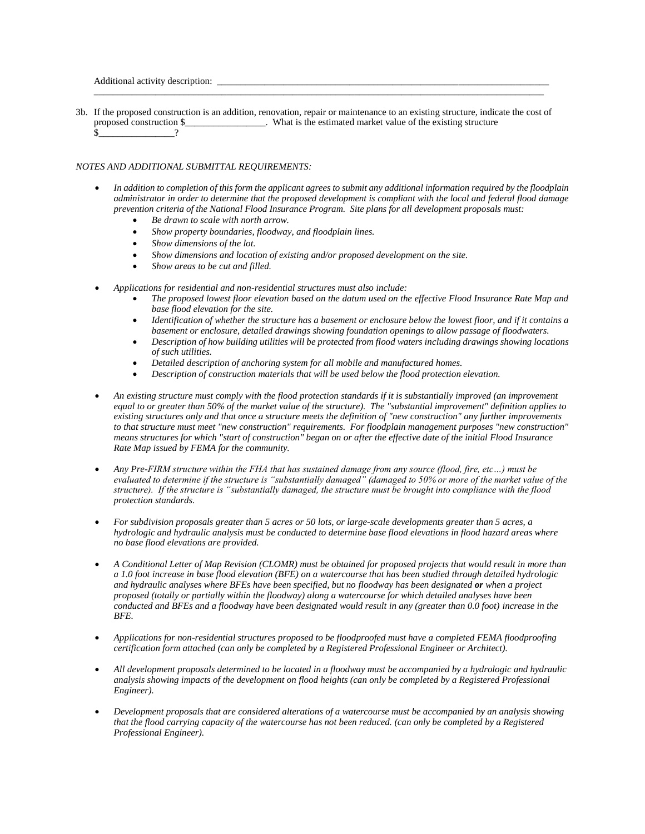Additional activity description:

3b. If the proposed construction is an addition, renovation, repair or maintenance to an existing structure, indicate the cost of proposed construction \$  $\blacksquare$  What is the estimated market value of the existing structure  $\frac{\sqrt{2}}{2}$   $\frac{1}{2}$   $\frac{1}{2}$   $\frac{1}{2}$   $\frac{1}{2}$   $\frac{1}{2}$   $\frac{1}{2}$   $\frac{1}{2}$   $\frac{1}{2}$   $\frac{1}{2}$   $\frac{1}{2}$   $\frac{1}{2}$   $\frac{1}{2}$   $\frac{1}{2}$   $\frac{1}{2}$   $\frac{1}{2}$   $\frac{1}{2}$   $\frac{1}{2}$   $\frac{1}{2}$   $\frac{1}{2}$   $\frac{1}{2}$   $\frac{1}{2}$ 

\_\_\_\_\_\_\_\_\_\_\_\_\_\_\_\_\_\_\_\_\_\_\_\_\_\_\_\_\_\_\_\_\_\_\_\_\_\_\_\_\_\_\_\_\_\_\_\_\_\_\_\_\_\_\_\_\_\_\_\_\_\_\_\_\_\_\_\_\_\_\_\_\_\_\_\_\_\_\_\_\_\_\_\_\_\_\_\_\_\_\_\_\_\_\_

## *NOTES AND ADDITIONAL SUBMITTAL REQUIREMENTS:*

- *In addition to completion of this form the applicant agrees to submit any additional information required by the floodplain administrator in order to determine that the proposed development is compliant with the local and federal flood damage prevention criteria of the National Flood Insurance Program. Site plans for all development proposals must:* 
	- *Be drawn to scale with north arrow.*
	- *Show property boundaries, floodway, and floodplain lines.*
	- *Show dimensions of the lot.*
	- *Show dimensions and location of existing and/or proposed development on the site.*
	- *Show areas to be cut and filled.*
- *Applications for residential and non-residential structures must also include:*
	- *The proposed lowest floor elevation based on the datum used on the effective Flood Insurance Rate Map and base flood elevation for the site.*
	- *Identification of whether the structure has a basement or enclosure below the lowest floor, and if it contains a basement or enclosure, detailed drawings showing foundation openings to allow passage of floodwaters.*
	- *Description of how building utilities will be protected from flood waters including drawings showing locations of such utilities.*
	- *Detailed description of anchoring system for all mobile and manufactured homes.*
	- *Description of construction materials that will be used below the flood protection elevation.*
- *An existing structure must comply with the flood protection standards if it is substantially improved (an improvement equal to or greater than 50% of the market value of the structure). The "substantial improvement" definition applies to existing structures only and that once a structure meets the definition of "new construction" any further improvements to that structure must meet "new construction" requirements. For floodplain management purposes "new construction" means structures for which "start of construction" began on or after the effective date of the initial Flood Insurance Rate Map issued by FEMA for the community.*
- *Any Pre-FIRM structure within the FHA that has sustained damage from any source (flood, fire, etc…) must be evaluated to determine if the structure is "substantially damaged" (damaged to 50% or more of the market value of the structure). If the structure is "substantially damaged, the structure must be brought into compliance with the flood protection standards.*
- *For subdivision proposals greater than 5 acres or 50 lots, or large-scale developments greater than 5 acres, a hydrologic and hydraulic analysis must be conducted to determine base flood elevations in flood hazard areas where no base flood elevations are provided.*
- *A Conditional Letter of Map Revision (CLOMR) must be obtained for proposed projects that would result in more than a 1.0 foot increase in base flood elevation (BFE) on a watercourse that has been studied through detailed hydrologic and hydraulic analyses where BFEs have been specified, but no floodway has been designated or when a project proposed (totally or partially within the floodway) along a watercourse for which detailed analyses have been conducted and BFEs and a floodway have been designated would result in any (greater than 0.0 foot) increase in the BFE.*
- *Applications for non-residential structures proposed to be floodproofed must have a completed FEMA floodproofing certification form attached (can only be completed by a Registered Professional Engineer or Architect).*
- *All development proposals determined to be located in a floodway must be accompanied by a hydrologic and hydraulic analysis showing impacts of the development on flood heights (can only be completed by a Registered Professional Engineer).*
- *Development proposals that are considered alterations of a watercourse must be accompanied by an analysis showing that the flood carrying capacity of the watercourse has not been reduced. (can only be completed by a Registered Professional Engineer).*